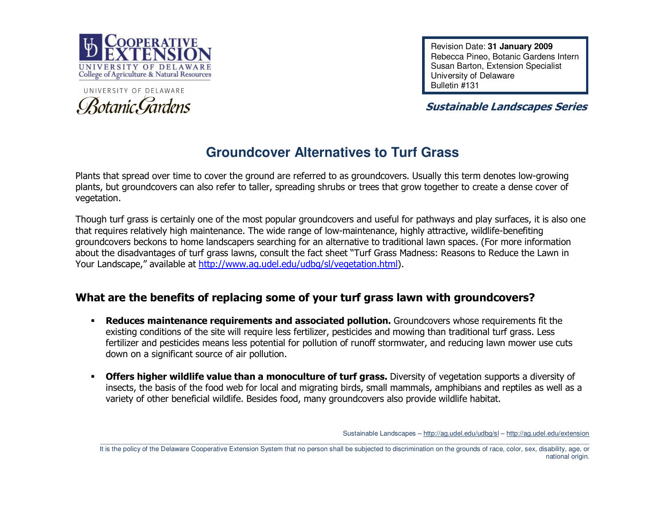

UNIVERSITY OF DELAWARE Botanic Gardens

Revision Date: **31 January 2009** Rebecca Pineo, Botanic Gardens Intern Susan Barton, Extension Specialist University of Delaware Bulletin #131

## Sustainable Landscapes Series

## **Groundcover Alternatives to Turf Grass**

Plants that spread over time to cover the ground are referred to as groundcovers. Usually this term denotes low-growing plants, but groundcovers can also refer to taller, spreading shrubs or trees that grow together to create a dense cover of vegetation.

Though turf grass is certainly one of the most popular groundcovers and useful for pathways and play surfaces, it is also one that requires relatively high maintenance. The wide range of low-maintenance, highly attractive, wildlife-benefiting groundcovers beckons to home landscapers searching for an alternative to traditional lawn spaces. (For more information about the disadvantages of turf grass lawns, consult the fact sheet "Turf Grass Madness: Reasons to Reduce the Lawn in Your Landscape," available at http://www.ag.udel.edu/udbg/sl/vegetation.html).

### What are the benefits of replacing some of your turf grass lawn with groundcovers?

- **Reduces maintenance requirements and associated pollution.** Groundcovers whose requirements fit the existing conditions of the site will require less fertilizer, pesticides and mowing than traditional turf grass. Less fertilizer and pesticides means less potential for pollution of runoff stormwater, and reducing lawn mower use cuts down on a significant source of air pollution.
- $\blacksquare$ **Offers higher wildlife value than a monoculture of turf grass.** Diversity of vegetation supports a diversity of insects, the basis of the food web for local and migrating birds, small mammals, amphibians and reptiles as well as a variety of other beneficial wildlife. Besides food, many groundcovers also provide wildlife habitat.

Sustainable Landscapes – <u>http://ag.udel.edu/udbg/sl</u> – <u>http://ag.udel.edu/extension</u>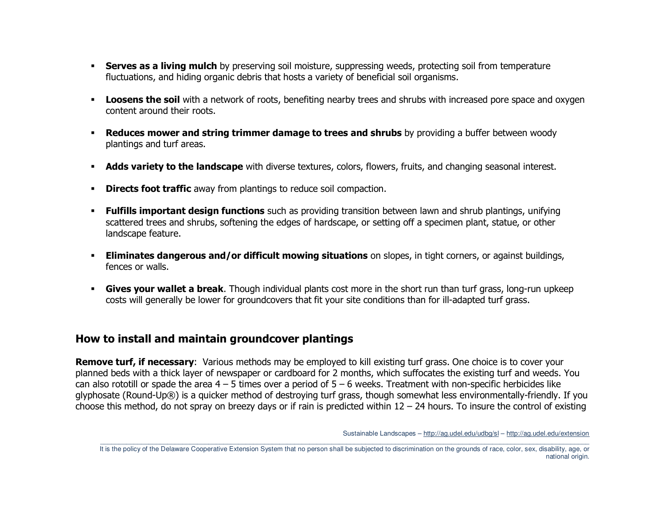- **Serves as a living mulch** by preserving soil moisture, suppressing weeds, protecting soil from temperature fluctuations, and hiding organic debris that hosts a variety of beneficial soil organisms.
- **Loosens the soil** with a network of roots, benefiting nearby trees and shrubs with increased pore space and oxygen content around their roots.
- **Reduces mower and string trimmer damage to trees and shrubs** by providing a buffer between woody plantings and turf areas.
- **Adds variety to the landscape** with diverse textures, colors, flowers, fruits, and changing seasonal interest.
- **Directs foot traffic** away from plantings to reduce soil compaction.
- **Fulfills important design functions** such as providing transition between lawn and shrub plantings, unifying scattered trees and shrubs, softening the edges of hardscape, or setting off a specimen plant, statue, or other landscape feature.
- **Eliminates dangerous and/or difficult mowing situations** on slopes, in tight corners, or against buildings, fences or walls.
- $\blacksquare$ **Gives your wallet a break**. Though individual plants cost more in the short run than turf grass, long-run upkeep costs will generally be lower for groundcovers that fit your site conditions than for ill-adapted turf grass.

## How to install and maintain groundcover plantings

**Remove turf, if necessary:** Various methods may be employed to kill existing turf grass. One choice is to cover your planned beds with a thick layer of newspaper or cardboard for 2 months, which suffocates the existing turf and weeds. You can also rototill or spade the area  $4 - 5$  times over a period of  $5 - 6$  weeks. Treatment with non-specific herbicides like glyphosate (Round-Up®) is a quicker method of destroying turf grass, though somewhat less environmentally-friendly. If you choose this method, do not spray on breezy days or if rain is predicted within  $12 - 24$  hours. To insure the control of existing

Sustainable Landscapes – <u>http://ag.udel.edu/udbg/sl</u> – <u>http://ag.udel.edu/extension</u>

It is the policy of the Delaware Cooperative Extension System that no person shall be subjected to discrimination on the grounds of race, color, sex, disability, age, or national origin.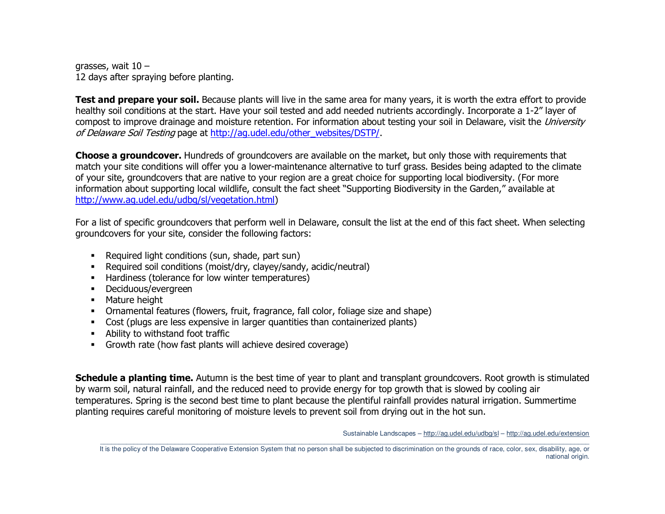grasses, wait  $10 -$ 12 days after spraying before planting.

Test and prepare your soil. Because plants will live in the same area for many years, it is worth the extra effort to provide healthy soil conditions at the start. Have your soil tested and add needed nutrients accordingly. Incorporate a 1-2" layer of compost to improve drainage and moisture retention. For information about testing your soil in Delaware, visit the University of Delaware Soil Testing page at http://ag.udel.edu/other\_websites/DSTP/.

**Choose a groundcover.** Hundreds of groundcovers are available on the market, but only those with requirements that match your site conditions will offer you a lower-maintenance alternative to turf grass. Besides being adapted to the climate of your site, groundcovers that are native to your region are a great choice for supporting local biodiversity. (For more information about supporting local wildlife, consult the fact sheet "Supporting Biodiversity in the Garden," available at http://www.ag.udel.edu/udbg/sl/vegetation.html)

For a list of specific groundcovers that perform well in Delaware, consult the list at the end of this fact sheet. When selecting groundcovers for your site, consider the following factors:

- Required light conditions (sun, shade, part sun)
- Required soil conditions (moist/dry, clayey/sandy, acidic/neutral)
- Hardiness (tolerance for low winter temperatures)
- Deciduous/evergreen
- **•** Mature height
- Ornamental features (flowers, fruit, fragrance, fall color, foliage size and shape)
- Cost (plugs are less expensive in larger quantities than containerized plants)
- Ability to withstand foot traffic
- Growth rate (how fast plants will achieve desired coverage)

**Schedule a planting time.** Autumn is the best time of year to plant and transplant groundcovers. Root growth is stimulated by warm soil, natural rainfall, and the reduced need to provide energy for top growth that is slowed by cooling air temperatures. Spring is the second best time to plant because the plentiful rainfall provides natural irrigation. Summertime planting requires careful monitoring of moisture levels to prevent soil from drying out in the hot sun.

Sustainable Landscapes – <u>http://ag.udel.edu/udbg/sl</u> – <u>http://ag.udel.edu/extension</u>

It is the policy of the Delaware Cooperative Extension System that no person shall be subjected to discrimination on the grounds of race, color, sex, disability, age, or national origin.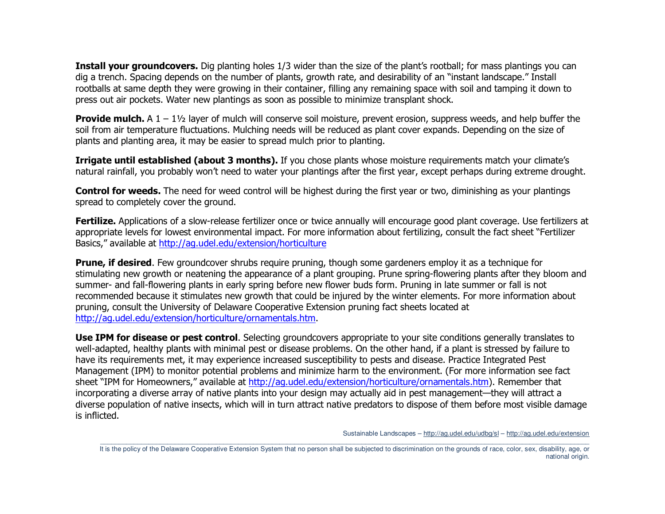**Install your groundcovers.** Dig planting holes 1/3 wider than the size of the plant's rootball; for mass plantings you can dig a trench. Spacing depends on the number of plants, growth rate, and desirability of an "instant landscape." Install rootballs at same depth they were growing in their container, filling any remaining space with soil and tamping it down to press out air pockets. Water new plantings as soon as possible to minimize transplant shock.

**Provide mulch.** A  $1 - 1\frac{1}{2}$  layer of mulch will conserve soil moisture, prevent erosion, suppress weeds, and help buffer the soil from air temperature fluctuations. Mulching needs will be reduced as plant cover expands. Depending on the size of plants and planting area, it may be easier to spread mulch prior to planting.

Irrigate until established (about 3 months). If you chose plants whose moisture requirements match your climate's natural rainfall, you probably won't need to water your plantings after the first year, except perhaps during extreme drought.

Control for weeds. The need for weed control will be highest during the first year or two, diminishing as your plantings spread to completely cover the ground.

Fertilize. Applications of a slow-release fertilizer once or twice annually will encourage good plant coverage. Use fertilizers at appropriate levels for lowest environmental impact. For more information about fertilizing, consult the fact sheet "Fertilizer Basics," available at http://ag.udel.edu/extension/horticulture

**Prune, if desired.** Few groundcover shrubs require pruning, though some gardeners employ it as a technique for stimulating new growth or neatening the appearance of a plant grouping. Prune spring-flowering plants after they bloom and summer- and fall-flowering plants in early spring before new flower buds form. Pruning in late summer or fall is not recommended because it stimulates new growth that could be injured by the winter elements. For more information about pruning, consult the University of Delaware Cooperative Extension pruning fact sheets located at http://ag.udel.edu/extension/horticulture/ornamentals.htm.

Use IPM for disease or pest control. Selecting groundcovers appropriate to your site conditions generally translates to well-adapted, healthy plants with minimal pest or disease problems. On the other hand, if a plant is stressed by failure to have its requirements met, it may experience increased susceptibility to pests and disease. Practice Integrated Pest Management (IPM) to monitor potential problems and minimize harm to the environment. (For more information see fact sheet "IPM for Homeowners," available at http://ag.udel.edu/extension/horticulture/ornamentals.htm). Remember that incorporating a diverse array of native plants into your design may actually aid in pest management—they will attract a diverse population of native insects, which will in turn attract native predators to dispose of them before most visible damage is inflicted.

Sustainable Landscapes – <u>http://ag.udel.edu/udbg/sl</u> – <u>http://ag.udel.edu/extension</u>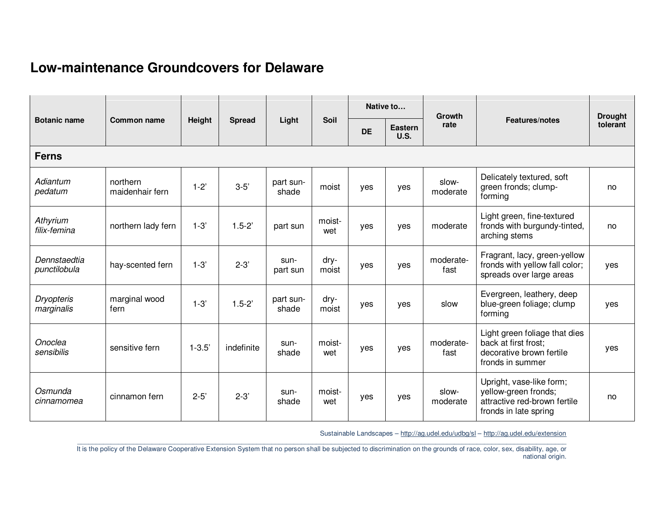# **Low-maintenance Groundcovers for Delaware**

|                                 |                             |            |               |                    |               | Native to |                        | <b>Growth</b>     |                                                                                                           | <b>Drought</b> |
|---------------------------------|-----------------------------|------------|---------------|--------------------|---------------|-----------|------------------------|-------------------|-----------------------------------------------------------------------------------------------------------|----------------|
| <b>Botanic name</b>             | <b>Common name</b>          | Height     | <b>Spread</b> | Light              | Soil          | <b>DE</b> | Eastern<br><b>U.S.</b> | rate              | <b>Features/notes</b>                                                                                     | tolerant       |
| <b>Ferns</b>                    |                             |            |               |                    |               |           |                        |                   |                                                                                                           |                |
| Adiantum<br>pedatum             | northern<br>maidenhair fern | $1-2"$     | $3 - 5'$      | part sun-<br>shade | moist         | yes       | yes                    | slow-<br>moderate | Delicately textured, soft<br>green fronds; clump-<br>forming                                              | no             |
| Athyrium<br>filix-femina        | northern lady fern          | $1 - 3'$   | $1.5 - 2'$    | part sun           | moist-<br>wet | yes       | yes                    | moderate          | Light green, fine-textured<br>fronds with burgundy-tinted,<br>arching stems                               | no             |
| Dennstaedtia<br>punctilobula    | hay-scented fern            | $1 - 3'$   | $2 - 3'$      | sun-<br>part sun   | dry-<br>moist | yes       | yes                    | moderate-<br>fast | Fragrant, lacy, green-yellow<br>fronds with yellow fall color;<br>spreads over large areas                | yes            |
| <b>Dryopteris</b><br>marginalis | marginal wood<br>fern       | $1 - 3'$   | $1.5 - 2'$    | part sun-<br>shade | dry-<br>moist | yes       | yes                    | slow              | Evergreen, leathery, deep<br>blue-green foliage; clump<br>forming                                         | yes            |
| Onoclea<br>sensibilis           | sensitive fern              | $1 - 3.5'$ | indefinite    | sun-<br>shade      | moist-<br>wet | yes       | yes                    | moderate-<br>fast | Light green foliage that dies<br>back at first frost;<br>decorative brown fertile<br>fronds in summer     | yes            |
| Osmunda<br>cinnamomea           | cinnamon fern               | $2 - 5'$   | $2 - 3'$      | sun-<br>shade      | moist-<br>wet | yes       | yes                    | slow-<br>moderate | Upright, vase-like form;<br>yellow-green fronds;<br>attractive red-brown fertile<br>fronds in late spring | no             |

Sustainable Landscapes – <u>http://ag.udel.edu/udbg/sl</u> – <u>http://ag.udel.edu/extension</u>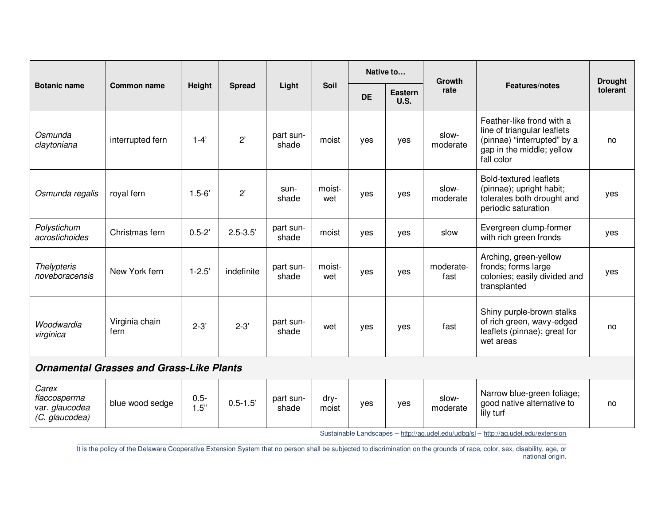| <b>Botanic name</b>                                       |                                                 |                 |               |                    |               | Native to |                               | <b>Growth</b>     |                                                                                                                                    | <b>Drought</b> |
|-----------------------------------------------------------|-------------------------------------------------|-----------------|---------------|--------------------|---------------|-----------|-------------------------------|-------------------|------------------------------------------------------------------------------------------------------------------------------------|----------------|
|                                                           | <b>Common name</b>                              | Height          | <b>Spread</b> | Light              | Soil          | <b>DE</b> | <b>Eastern</b><br><b>U.S.</b> | rate              | Features/notes                                                                                                                     | tolerant       |
| Osmunda<br>claytoniana                                    | interrupted fern                                | $1 - 4'$        | 2'            | part sun-<br>shade | moist         | yes       | yes                           | slow-<br>moderate | Feather-like frond with a<br>line of triangular leaflets<br>(pinnae) "interrupted" by a<br>gap in the middle; yellow<br>fall color | no             |
| Osmunda regalis                                           | royal fern                                      | $1.5 - 6'$      | 2'            | sun-<br>shade      | moist-<br>wet | yes       | yes                           | slow-<br>moderate | <b>Bold-textured leaflets</b><br>(pinnae); upright habit;<br>tolerates both drought and<br>periodic saturation                     | yes            |
| Polystichum<br>acrostichoides                             | Christmas fern                                  | $0.5 - 2'$      | $2.5 - 3.5'$  | part sun-<br>shade | moist         | yes       | yes                           | slow              | Evergreen clump-former<br>with rich green fronds                                                                                   | yes            |
| <b>Thelypteris</b><br>noveboracensis                      | New York fern                                   | $1 - 2.5'$      | indefinite    | part sun-<br>shade | moist-<br>wet | yes       | yes                           | moderate-<br>fast | Arching, green-yellow<br>fronds; forms large<br>colonies; easily divided and<br>transplanted                                       | yes            |
| Woodwardia<br>virginica                                   | Virginia chain<br>fern                          | $2 - 3'$        | $2 - 3'$      | part sun-<br>shade | wet           | yes       | yes                           | fast              | Shiny purple-brown stalks<br>of rich green, wavy-edged<br>leaflets (pinnae); great for<br>wet areas                                | no             |
|                                                           | <b>Ornamental Grasses and Grass-Like Plants</b> |                 |               |                    |               |           |                               |                   |                                                                                                                                    |                |
| Carex<br>flaccosperma<br>var. glaucodea<br>(C. glaucodea) | blue wood sedge                                 | $0.5 -$<br>1.5" | $0.5 - 1.5'$  | part sun-<br>shade | dry-<br>moist | yes       | yes                           | slow-<br>moderate | Narrow blue-green foliage;<br>good native alternative to<br>lily turf                                                              | no             |
|                                                           |                                                 |                 |               |                    |               |           |                               |                   | Sustainable Landscapes - http://ag.udel.edu/udbg/sl - http://ag.udel.edu/extension                                                 |                |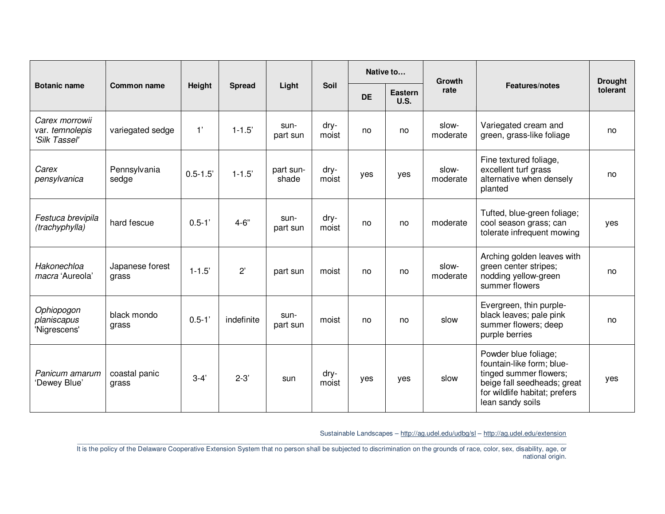|                                                    |                          |              |               |                    |               | Native to |                               | Growth            |                                                                                                                                                                 | <b>Drought</b> |
|----------------------------------------------------|--------------------------|--------------|---------------|--------------------|---------------|-----------|-------------------------------|-------------------|-----------------------------------------------------------------------------------------------------------------------------------------------------------------|----------------|
| <b>Botanic name</b>                                | <b>Common name</b>       | Height       | <b>Spread</b> | Light              | Soil          | <b>DE</b> | <b>Eastern</b><br><b>U.S.</b> | rate              | Features/notes                                                                                                                                                  | tolerant       |
| Carex morrowii<br>var. temnolepis<br>'Silk Tassel' | variegated sedge         | 1'           | $1 - 1.5'$    | sun-<br>part sun   | dry-<br>moist | no        | no                            | slow-<br>moderate | Variegated cream and<br>green, grass-like foliage                                                                                                               | no             |
| Carex<br>pensylvanica                              | Pennsylvania<br>sedge    | $0.5 - 1.5'$ | $1 - 1.5'$    | part sun-<br>shade | dry-<br>moist | yes       | yes                           | slow-<br>moderate | Fine textured foliage,<br>excellent turf grass<br>alternative when densely<br>planted                                                                           | no             |
| Festuca brevipila<br>(trachyphylla)                | hard fescue              | $0.5 - 1'$   | $4 - 6"$      | sun-<br>part sun   | dry-<br>moist | no        | no                            | moderate          | Tufted, blue-green foliage;<br>cool season grass; can<br>tolerate infrequent mowing                                                                             | yes            |
| Hakonechloa<br>macra 'Aureola'                     | Japanese forest<br>grass | $1 - 1.5'$   | $2^{\prime}$  | part sun           | moist         | no        | no                            | slow-<br>moderate | Arching golden leaves with<br>green center stripes;<br>nodding yellow-green<br>summer flowers                                                                   | no             |
| Ophiopogon<br>planiscapus<br>'Nigrescens'          | black mondo<br>grass     | $0.5 - 1'$   | indefinite    | sun-<br>part sun   | moist         | no        | no                            | slow              | Evergreen, thin purple-<br>black leaves; pale pink<br>summer flowers; deep<br>purple berries                                                                    | no             |
| Panicum amarum<br>'Dewey Blue'                     | coastal panic<br>grass   | $3-4'$       | $2 - 3'$      | sun                | dry-<br>moist | yes       | yes                           | slow              | Powder blue foliage;<br>fountain-like form; blue-<br>tinged summer flowers;<br>beige fall seedheads; great<br>for wildlife habitat; prefers<br>lean sandy soils | yes            |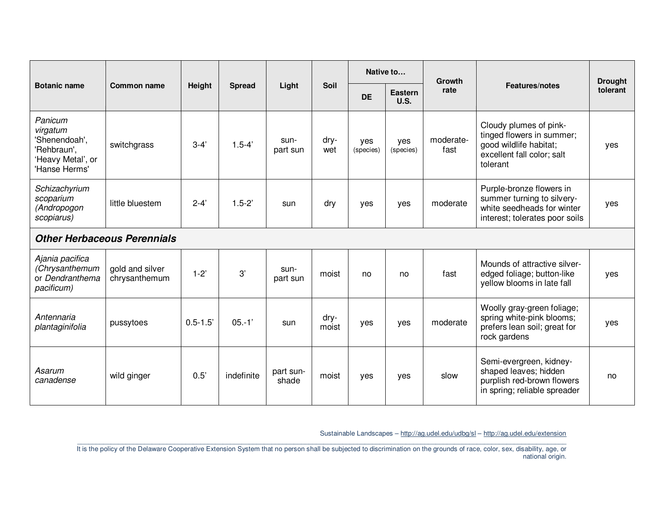|                                                                                           |                                    |              |               | Light              |               | Native to        |                        | <b>Growth</b>     | Features/notes                                                                                                          | <b>Drought</b> |
|-------------------------------------------------------------------------------------------|------------------------------------|--------------|---------------|--------------------|---------------|------------------|------------------------|-------------------|-------------------------------------------------------------------------------------------------------------------------|----------------|
| <b>Botanic name</b>                                                                       | Common name                        | Height       | <b>Spread</b> |                    | Soil          | <b>DE</b>        | Eastern<br><b>U.S.</b> | rate              |                                                                                                                         | tolerant       |
| Panicum<br>virgatum<br>'Shenendoah',<br>'Rehbraun',<br>'Heavy Metal', or<br>'Hanse Herms' | switchgrass                        | $3-4'$       | $1.5 - 4'$    | sun-<br>part sun   | dry-<br>wet   | yes<br>(species) | yes<br>(species)       | moderate-<br>fast | Cloudy plumes of pink-<br>tinged flowers in summer;<br>good wildlife habitat;<br>excellent fall color; salt<br>tolerant | ves            |
| Schizachyrium<br>scoparium<br>(Andropogon<br>scopiarus)                                   | little bluestem                    | $2 - 4'$     | $1.5 - 2'$    | sun                | dry           | yes              | yes                    | moderate          | Purple-bronze flowers in<br>summer turning to silvery-<br>white seedheads for winter<br>interest; tolerates poor soils  | yes            |
|                                                                                           | <b>Other Herbaceous Perennials</b> |              |               |                    |               |                  |                        |                   |                                                                                                                         |                |
| Ajania pacifica<br>(Chrysanthemum<br>or Dendranthema<br>pacificum)                        | gold and silver<br>chrysanthemum   | $1 - 2'$     | 3'            | sun-<br>part sun   | moist         | no               | no                     | fast              | Mounds of attractive silver-<br>edged foliage; button-like<br>yellow blooms in late fall                                | yes            |
| Antennaria<br>plantaginifolia                                                             | pussytoes                          | $0.5 - 1.5'$ | $05.-1'$      | sun                | dry-<br>moist | yes              | yes                    | moderate          | Woolly gray-green foliage;<br>spring white-pink blooms;<br>prefers lean soil; great for<br>rock gardens                 | yes            |
| Asarum<br>canadense                                                                       | wild ginger                        | 0.5'         | indefinite    | part sun-<br>shade | moist         | yes              | yes                    | slow              | Semi-evergreen, kidney-<br>shaped leaves; hidden<br>purplish red-brown flowers<br>in spring; reliable spreader          | no             |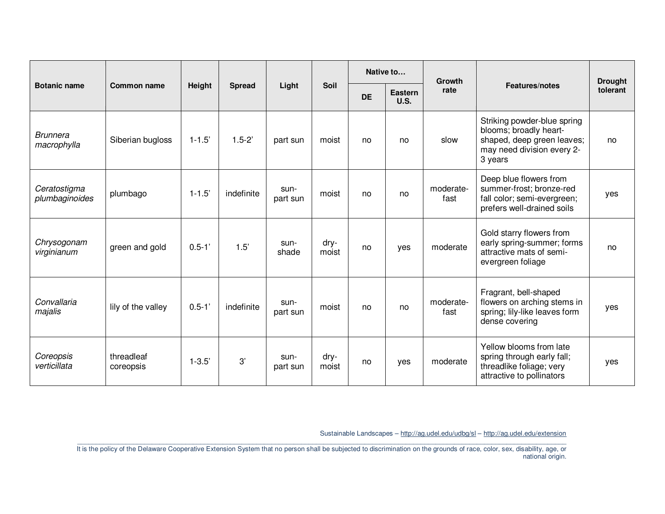|                                |                         | Native to<br><b>Growth</b> |               | <b>Drought</b>   |               |           |                 |                   |                                                                                                                              |          |
|--------------------------------|-------------------------|----------------------------|---------------|------------------|---------------|-----------|-----------------|-------------------|------------------------------------------------------------------------------------------------------------------------------|----------|
| <b>Botanic name</b>            | Common name             | Height                     | <b>Spread</b> | Light            | Soil          | <b>DE</b> | Eastern<br>U.S. | rate              | Features/notes                                                                                                               | tolerant |
| <b>Brunnera</b><br>macrophylla | Siberian bugloss        | $1 - 1.5'$                 | $1.5 - 2'$    | part sun         | moist         | no        | no              | slow              | Striking powder-blue spring<br>blooms; broadly heart-<br>shaped, deep green leaves;<br>may need division every 2-<br>3 years | no       |
| Ceratostigma<br>plumbaginoides | plumbago                | $1 - 1.5'$                 | indefinite    | sun-<br>part sun | moist         | no        | no              | moderate-<br>fast | Deep blue flowers from<br>summer-frost; bronze-red<br>fall color; semi-evergreen;<br>prefers well-drained soils              | yes      |
| Chrysogonam<br>virginianum     | green and gold          | $0.5 - 1'$                 | 1.5'          | sun-<br>shade    | dry-<br>moist | no        | yes             | moderate          | Gold starry flowers from<br>early spring-summer; forms<br>attractive mats of semi-<br>evergreen foliage                      | no       |
| Convallaria<br>majalis         | lily of the valley      | $0.5 - 1'$                 | indefinite    | sun-<br>part sun | moist         | no        | no              | moderate-<br>fast | Fragrant, bell-shaped<br>flowers on arching stems in<br>spring; lily-like leaves form<br>dense covering                      | yes      |
| Coreopsis<br>verticillata      | threadleaf<br>coreopsis | $1 - 3.5'$                 | 3'            | sun-<br>part sun | dry-<br>moist | no        | yes             | moderate          | Yellow blooms from late<br>spring through early fall;<br>threadlike foliage; very<br>attractive to pollinators               | yes      |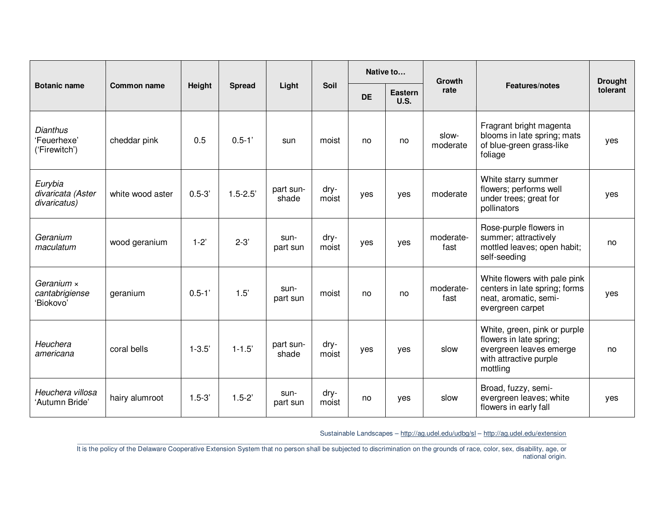|                                                 |                  |            |               |                    |               | Native to |                        | Growth            |                                                                                                                          | <b>Drought</b> |
|-------------------------------------------------|------------------|------------|---------------|--------------------|---------------|-----------|------------------------|-------------------|--------------------------------------------------------------------------------------------------------------------------|----------------|
| <b>Botanic name</b>                             | Common name      | Height     | <b>Spread</b> | Light              | <b>Soil</b>   | <b>DE</b> | <b>Eastern</b><br>U.S. | rate              | Features/notes                                                                                                           | tolerant       |
| <b>Dianthus</b><br>'Feuerhexe'<br>('Firewitch') | cheddar pink     | 0.5        | $0.5 - 1'$    | sun                | moist         | no        | no                     | slow-<br>moderate | Fragrant bright magenta<br>blooms in late spring; mats<br>of blue-green grass-like<br>foliage                            | yes            |
| Eurybia<br>divaricata (Aster<br>divaricatus)    | white wood aster | $0.5 - 3'$ | $1.5 - 2.5'$  | part sun-<br>shade | dry-<br>moist | yes       | yes                    | moderate          | White starry summer<br>flowers; performs well<br>under trees; great for<br>pollinators                                   | yes            |
| Geranium<br>maculatum                           | wood geranium    | $1 - 2'$   | $2 - 3'$      | sun-<br>part sun   | dry-<br>moist | yes       | yes                    | moderate-<br>fast | Rose-purple flowers in<br>summer; attractively<br>mottled leaves; open habit;<br>self-seeding                            | no             |
| Geranium x<br>cantabrigiense<br>'Biokovo'       | geranium         | $0.5 - 1'$ | 1.5'          | sun-<br>part sun   | moist         | no        | no                     | moderate-<br>fast | White flowers with pale pink<br>centers in late spring; forms<br>neat, aromatic, semi-<br>evergreen carpet               | yes            |
| Heuchera<br>americana                           | coral bells      | $1 - 3.5'$ | $1 - 1.5'$    | part sun-<br>shade | dry-<br>moist | yes       | yes                    | slow              | White, green, pink or purple<br>flowers in late spring;<br>evergreen leaves emerge<br>with attractive purple<br>mottling | no             |
| Heuchera villosa<br>'Autumn Bride'              | hairy alumroot   | $1.5 - 3'$ | $1.5 - 2'$    | sun-<br>part sun   | dry-<br>moist | no        | yes                    | slow              | Broad, fuzzy, semi-<br>evergreen leaves; white<br>flowers in early fall                                                  | yes            |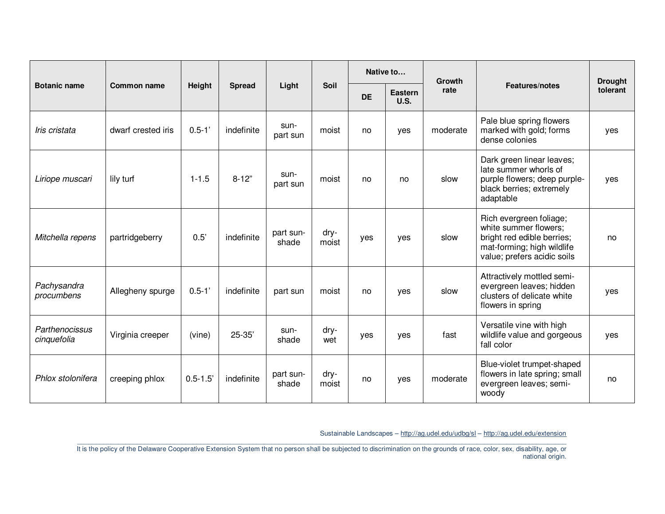|                               |                    |              |               |                    |               | Native to |                               | <b>Growth</b> |                                                                                                                                             | <b>Drought</b> |
|-------------------------------|--------------------|--------------|---------------|--------------------|---------------|-----------|-------------------------------|---------------|---------------------------------------------------------------------------------------------------------------------------------------------|----------------|
| <b>Botanic name</b>           | Common name        | Height       | <b>Spread</b> | Light              | Soil          | <b>DE</b> | <b>Eastern</b><br><b>U.S.</b> | rate          | <b>Features/notes</b>                                                                                                                       | tolerant       |
| <i>Iris cristata</i>          | dwarf crested iris | $0.5 - 1'$   | indefinite    | sun-<br>part sun   | moist         | no        | yes                           | moderate      | Pale blue spring flowers<br>marked with gold; forms<br>dense colonies                                                                       | yes            |
| Liriope muscari               | lily turf          | $1 - 1.5$    | $8 - 12"$     | sun-<br>part sun   | moist         | no        | no                            | slow          | Dark green linear leaves;<br>late summer whorls of<br>purple flowers; deep purple-<br>black berries; extremely<br>adaptable                 | yes            |
| Mitchella repens              | partridgeberry     | 0.5'         | indefinite    | part sun-<br>shade | dry-<br>moist | yes       | yes                           | slow          | Rich evergreen foliage;<br>white summer flowers;<br>bright red edible berries;<br>mat-forming; high wildlife<br>value; prefers acidic soils | no             |
| Pachysandra<br>procumbens     | Allegheny spurge   | $0.5 - 1'$   | indefinite    | part sun           | moist         | no        | yes                           | slow          | Attractively mottled semi-<br>evergreen leaves; hidden<br>clusters of delicate white<br>flowers in spring                                   | yes            |
| Parthenocissus<br>cinquefolia | Virginia creeper   | (vine)       | $25 - 35'$    | sun-<br>shade      | dry-<br>wet   | yes       | yes                           | fast          | Versatile vine with high<br>wildlife value and gorgeous<br>fall color                                                                       | yes            |
| Phlox stolonifera             | creeping phlox     | $0.5 - 1.5'$ | indefinite    | part sun-<br>shade | dry-<br>moist | no        | yes                           | moderate      | Blue-violet trumpet-shaped<br>flowers in late spring; small<br>evergreen leaves; semi-<br>woody                                             | no             |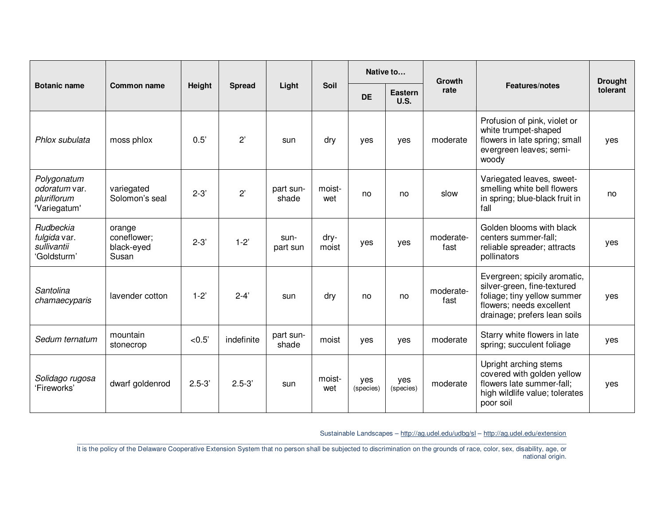|                                                             |                                              |            |               |                    |               | Native to        |                        | Growth            | Features/notes                                                                                                                                         | <b>Drought</b> |
|-------------------------------------------------------------|----------------------------------------------|------------|---------------|--------------------|---------------|------------------|------------------------|-------------------|--------------------------------------------------------------------------------------------------------------------------------------------------------|----------------|
| <b>Botanic name</b>                                         | <b>Common name</b>                           | Height     | <b>Spread</b> | Light              | Soil          | <b>DE</b>        | Eastern<br><b>U.S.</b> | rate              |                                                                                                                                                        | tolerant       |
| Phlox subulata                                              | moss phlox                                   | 0.5'       | $2^{\prime}$  | sun                | dry           | yes              | yes                    | moderate          | Profusion of pink, violet or<br>white trumpet-shaped<br>flowers in late spring; small<br>evergreen leaves; semi-<br>woody                              | yes            |
| Polygonatum<br>odoratum var.<br>pluriflorum<br>'Variegatum' | variegated<br>Solomon's seal                 | $2 - 3'$   | 2'            | part sun-<br>shade | moist-<br>wet | no               | no                     | slow              | Variegated leaves, sweet-<br>smelling white bell flowers<br>in spring; blue-black fruit in<br>fall                                                     | no             |
| Rudbeckia<br>fulgida var.<br>sullivantii<br>'Goldsturm'     | orange<br>coneflower;<br>black-eyed<br>Susan | $2 - 3'$   | $1-2$         | sun-<br>part sun   | dry-<br>moist | yes              | yes                    | moderate-<br>fast | Golden blooms with black<br>centers summer-fall:<br>reliable spreader; attracts<br>pollinators                                                         | yes            |
| Santolina<br>chamaecyparis                                  | lavender cotton                              | $1 - 2'$   | $2 - 4'$      | sun                | dry           | no               | no                     | moderate-<br>fast | Evergreen; spicily aromatic,<br>silver-green, fine-textured<br>foliage; tiny yellow summer<br>flowers; needs excellent<br>drainage; prefers lean soils | yes            |
| Sedum ternatum                                              | mountain<br>stonecrop                        | < 0.5'     | indefinite    | part sun-<br>shade | moist         | yes              | yes                    | moderate          | Starry white flowers in late<br>spring; succulent foliage                                                                                              | yes            |
| Solidago rugosa<br>'Fireworks'                              | dwarf goldenrod                              | $2.5 - 3'$ | $2.5 - 3'$    | sun                | moist-<br>wet | yes<br>(species) | yes<br>(species)       | moderate          | Upright arching stems<br>covered with golden yellow<br>flowers late summer-fall;<br>high wildlife value; tolerates<br>poor soil                        | yes            |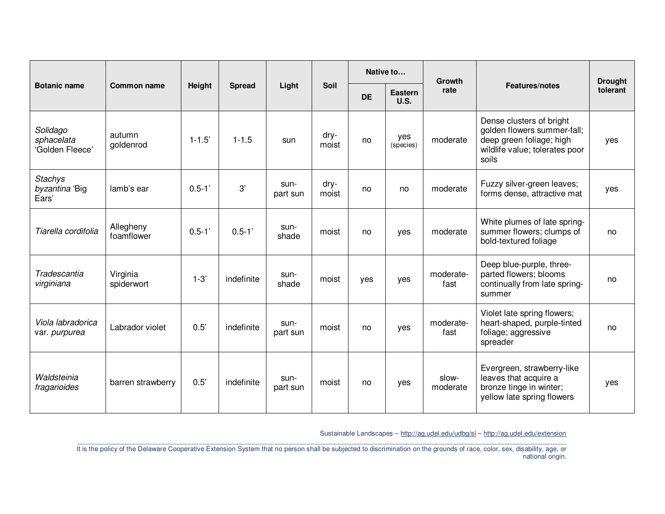|                                           |                         |            | <b>Spread</b> | Light            | Soil          | Native to |                  | Growth            | Features/notes                                                                                                                 | <b>Drought</b> |
|-------------------------------------------|-------------------------|------------|---------------|------------------|---------------|-----------|------------------|-------------------|--------------------------------------------------------------------------------------------------------------------------------|----------------|
| <b>Botanic name</b>                       | <b>Common name</b>      | Height     |               |                  |               | <b>DE</b> | Eastern<br>U.S.  | rate              |                                                                                                                                | tolerant       |
| Solidago<br>sphacelata<br>'Golden Fleece' | autumn<br>goldenrod     | $1 - 1.5'$ | $1 - 1.5$     | sun              | dry-<br>moist | no        | yes<br>(species) | moderate          | Dense clusters of bright<br>golden flowers summer-fall;<br>deep green foliage; high<br>wildlife value; tolerates poor<br>soils | yes            |
| <b>Stachys</b><br>byzantina 'Big<br>Ears' | lamb's ear              | $0.5 - 1'$ | 3'            | sun-<br>part sun | dry-<br>moist | no        | no               | moderate          | Fuzzy silver-green leaves;<br>forms dense, attractive mat                                                                      | yes            |
| Tiarella cordifolia                       | Allegheny<br>foamflower | $0.5 - 1'$ | $0.5 - 1'$    | sun-<br>shade    | moist         | no        | yes              | moderate          | White plumes of late spring-<br>summer flowers; clumps of<br>bold-textured foliage                                             | no             |
| Tradescantia<br>virginiana                | Virginia<br>spiderwort  | $1-3'$     | indefinite    | sun-<br>shade    | moist         | yes       | yes              | moderate-<br>fast | Deep blue-purple, three-<br>parted flowers; blooms<br>continually from late spring-<br>summer                                  | no             |
| Viola labradorica<br>var. purpurea        | Labrador violet         | 0.5'       | indefinite    | sun-<br>part sun | moist         | no        | yes              | moderate-<br>fast | Violet late spring flowers;<br>heart-shaped, purple-tinted<br>foliage; aggressive<br>spreader                                  | no             |
| Waldsteinia<br>fragarioides               | barren strawberry       | 0.5'       | indefinite    | sun-<br>part sun | moist         | no        | yes              | slow-<br>moderate | Evergreen, strawberry-like<br>leaves that acquire a<br>bronze tinge in winter;<br>yellow late spring flowers                   | yes            |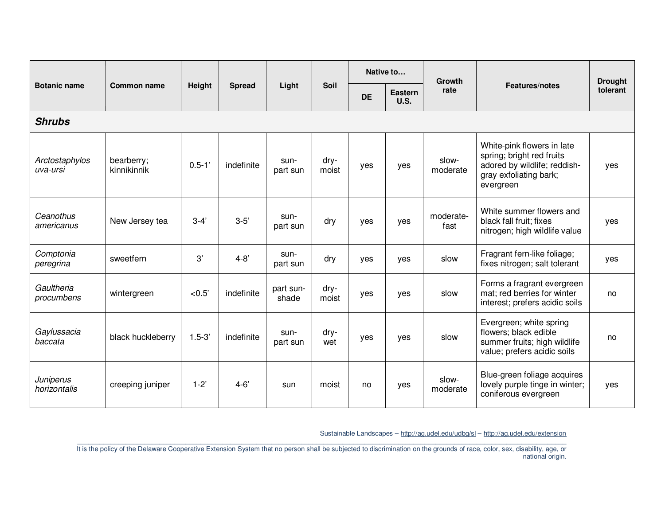| <b>Botanic name</b>        |                           |            |               |                    |               | Native to |                               | <b>Growth</b>     |                                                                                                                                | <b>Drought</b> |
|----------------------------|---------------------------|------------|---------------|--------------------|---------------|-----------|-------------------------------|-------------------|--------------------------------------------------------------------------------------------------------------------------------|----------------|
|                            | Common name               | Height     | <b>Spread</b> | Light              | Soil          | <b>DE</b> | <b>Eastern</b><br><b>U.S.</b> | rate              | Features/notes                                                                                                                 | tolerant       |
| <b>Shrubs</b>              |                           |            |               |                    |               |           |                               |                   |                                                                                                                                |                |
| Arctostaphylos<br>uva-ursi | bearberry;<br>kinnikinnik | $0.5 - 1'$ | indefinite    | sun-<br>part sun   | dry-<br>moist | yes       | yes                           | slow-<br>moderate | White-pink flowers in late<br>spring; bright red fruits<br>adored by wildlife; reddish-<br>gray exfoliating bark;<br>evergreen | yes            |
| Ceanothus<br>americanus    | New Jersey tea            | $3-4'$     | $3 - 5'$      | sun-<br>part sun   | dry           | yes       | yes                           | moderate-<br>fast | White summer flowers and<br>black fall fruit; fixes<br>nitrogen; high wildlife value                                           | yes            |
| Comptonia<br>peregrina     | sweetfern                 | 3'         | $4 - 8'$      | sun-<br>part sun   | dry           | yes       | yes                           | slow              | Fragrant fern-like foliage;<br>fixes nitrogen; salt tolerant                                                                   | yes            |
| Gaultheria<br>procumbens   | wintergreen               | < 0.5'     | indefinite    | part sun-<br>shade | dry-<br>moist | yes       | yes                           | slow              | Forms a fragrant evergreen<br>mat; red berries for winter<br>interest; prefers acidic soils                                    | no             |
| Gaylussacia<br>baccata     | black huckleberry         | $1.5 - 3'$ | indefinite    | sun-<br>part sun   | dry-<br>wet   | yes       | yes                           | slow              | Evergreen; white spring<br>flowers; black edible<br>summer fruits; high wildlife<br>value; prefers acidic soils                | no             |
| Juniperus<br>horizontalis  | creeping juniper          | $1 - 2'$   | $4 - 6'$      | sun                | moist         | no        | yes                           | slow-<br>moderate | Blue-green foliage acquires<br>lovely purple tinge in winter;<br>coniferous evergreen                                          | yes            |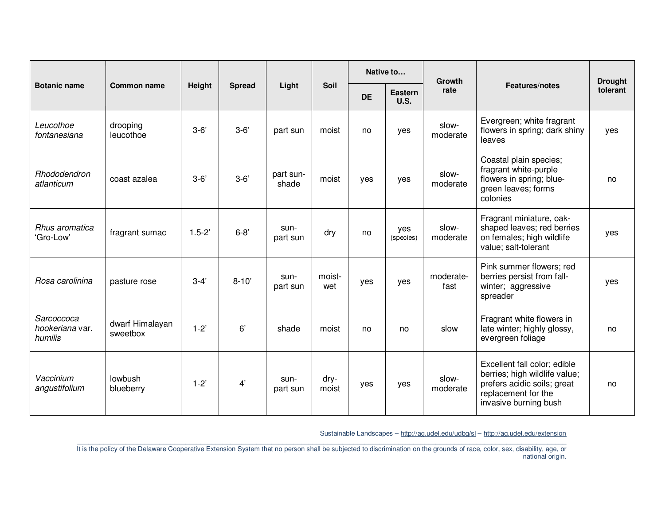|                                          |                             |            |               |                    |               | Native to |                               | <b>Growth</b>     |                                                                                                                                              | <b>Drought</b> |
|------------------------------------------|-----------------------------|------------|---------------|--------------------|---------------|-----------|-------------------------------|-------------------|----------------------------------------------------------------------------------------------------------------------------------------------|----------------|
| <b>Botanic name</b>                      | Common name                 | Height     | <b>Spread</b> | Light              | Soil          | <b>DE</b> | <b>Eastern</b><br><b>U.S.</b> | rate              | Features/notes                                                                                                                               | tolerant       |
| Leucothoe<br>fontanesiana                | drooping<br>leucothoe       | $3-6'$     | $3 - 6'$      | part sun           | moist         | no        | yes                           | slow-<br>moderate | Evergreen; white fragrant<br>flowers in spring; dark shiny<br>leaves                                                                         | yes            |
| Rhododendron<br>atlanticum               | coast azalea                | $3-6'$     | $3-6'$        | part sun-<br>shade | moist         | yes       | yes                           | slow-<br>moderate | Coastal plain species;<br>fragrant white-purple<br>flowers in spring; blue-<br>green leaves; forms<br>colonies                               | no             |
| Rhus aromatica<br>'Gro-Low'              | fragrant sumac              | $1.5 - 2'$ | $6 - 8'$      | sun-<br>part sun   | dry           | no        | yes<br>(species)              | slow-<br>moderate | Fragrant miniature, oak-<br>shaped leaves; red berries<br>on females; high wildlife<br>value; salt-tolerant                                  | yes            |
| Rosa carolinina                          | pasture rose                | $3-4'$     | $8 - 10'$     | sun-<br>part sun   | moist-<br>wet | yes       | yes                           | moderate-<br>fast | Pink summer flowers; red<br>berries persist from fall-<br>winter; aggressive<br>spreader                                                     | yes            |
| Sarcoccoca<br>hookeriana var.<br>humilis | dwarf Himalayan<br>sweetbox | $1-2"$     | 6'            | shade              | moist         | no        | no                            | slow              | Fragrant white flowers in<br>late winter; highly glossy,<br>evergreen foliage                                                                | no             |
| Vaccinium<br>angustifolium               | lowbush<br>blueberry        | $1-2"$     | 4'            | sun-<br>part sun   | dry-<br>moist | yes       | yes                           | slow-<br>moderate | Excellent fall color; edible<br>berries; high wildlife value;<br>prefers acidic soils; great<br>replacement for the<br>invasive burning bush | no             |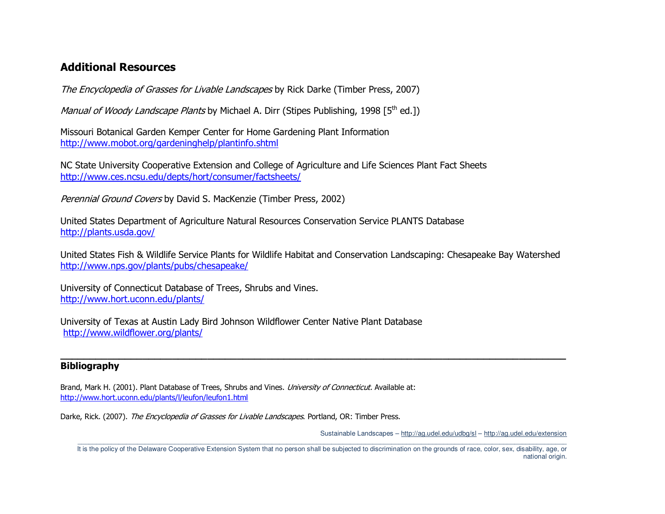### Additional Resources

The Encyclopedia of Grasses for Livable Landscapes by Rick Darke (Timber Press, 2007)

Manual of Woody Landscape Plants by Michael A. Dirr (Stipes Publishing, 1998 [5<sup>th</sup> ed.])

Missouri Botanical Garden Kemper Center for Home Gardening Plant Information http://www.mobot.org/gardeninghelp/plantinfo.shtml

NC State University Cooperative Extension and College of Agriculture and Life Sciences Plant Fact Sheets http://www.ces.ncsu.edu/depts/hort/consumer/factsheets/

Perennial Ground Covers by David S. MacKenzie (Timber Press, 2002)

United States Department of Agriculture Natural Resources Conservation Service PLANTS Database http://plants.usda.gov/

United States Fish & Wildlife Service Plants for Wildlife Habitat and Conservation Landscaping: Chesapeake Bay Watershedhttp://www.nps.gov/plants/pubs/chesapeake/

\_\_\_\_\_\_\_\_\_\_\_\_\_\_\_\_\_\_\_\_\_\_\_\_\_\_\_\_\_\_\_\_\_\_\_\_\_\_\_\_\_\_\_\_\_\_\_\_\_\_\_\_\_\_\_\_\_\_\_\_\_\_\_\_\_\_\_\_\_\_\_\_\_\_\_\_\_\_\_\_\_\_\_\_\_\_

University of Connecticut Database of Trees, Shrubs and Vines. http://www.hort.uconn.edu/plants/

University of Texas at Austin Lady Bird Johnson Wildflower Center Native Plant Database http://www.wildflower.org/plants/

#### Bibliography

Brand, Mark H. (2001). Plant Database of Trees, Shrubs and Vines. University of Connecticut. Available at: http://www.hort.uconn.edu/plants/l/leufon/leufon1.html

Darke, Rick. (2007). The Encyclopedia of Grasses for Livable Landscapes. Portland, OR: Timber Press.

Sustainable Landscapes – <u>http://ag.udel.edu/udbg/sl</u> – <u>http://ag.udel.edu/extension</u>